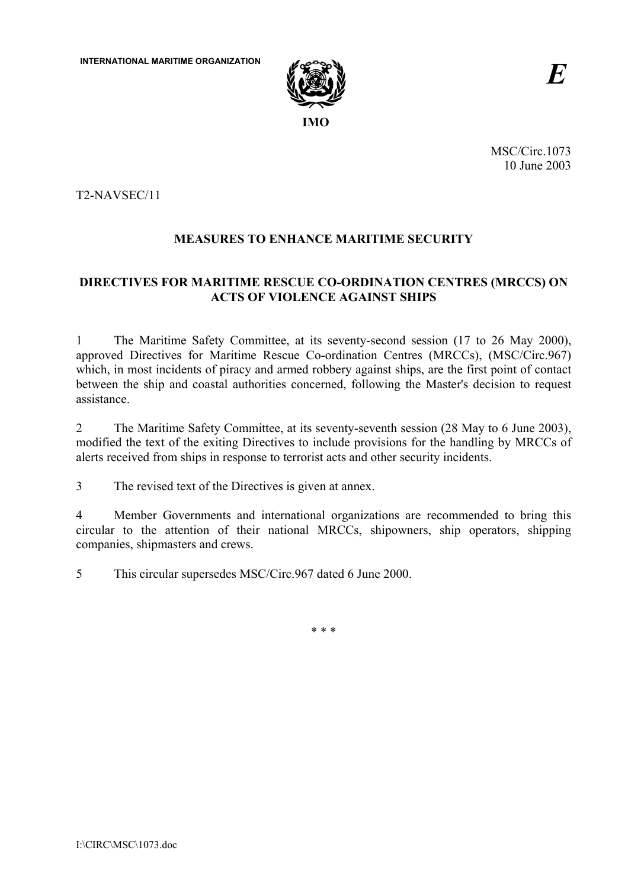

MSC/Circ.1073 10 June 2003

T2-NAVSEC/11

# **MEASURES TO ENHANCE MARITIME SECURITY**

# **DIRECTIVES FOR MARITIME RESCUE CO-ORDINATION CENTRES (MRCCS) ON ACTS OF VIOLENCE AGAINST SHIPS**

1 The Maritime Safety Committee, at its seventy-second session (17 to 26 May 2000), approved Directives for Maritime Rescue Co-ordination Centres (MRCCs), (MSC/Circ.967) which, in most incidents of piracy and armed robbery against ships, are the first point of contact between the ship and coastal authorities concerned, following the Master's decision to request assistance.

2 The Maritime Safety Committee, at its seventy-seventh session (28 May to 6 June 2003), modified the text of the exiting Directives to include provisions for the handling by MRCCs of alerts received from ships in response to terrorist acts and other security incidents.

3 The revised text of the Directives is given at annex.

4 Member Governments and international organizations are recommended to bring this circular to the attention of their national MRCCs, shipowners, ship operators, shipping companies, shipmasters and crews.

5 This circular supersedes MSC/Circ.967 dated 6 June 2000.

\* \* \*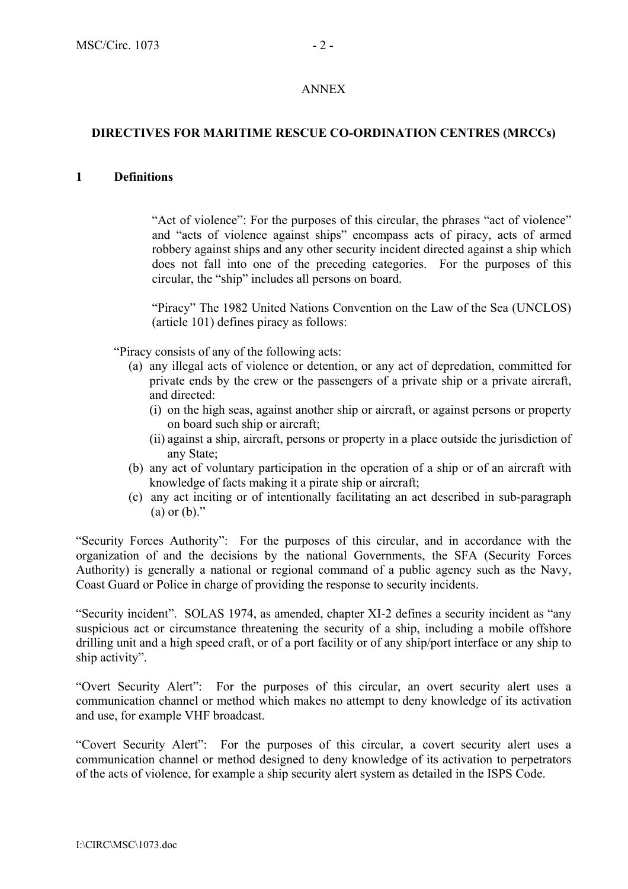### ANNEX

## **DIRECTIVES FOR MARITIME RESCUE CO-ORDINATION CENTRES (MRCCs)**

#### **1 Definitions**

"Act of violence": For the purposes of this circular, the phrases "act of violence" and "acts of violence against ships" encompass acts of piracy, acts of armed robbery against ships and any other security incident directed against a ship which does not fall into one of the preceding categories. For the purposes of this circular, the "ship" includes all persons on board.

"Piracy" The 1982 United Nations Convention on the Law of the Sea (UNCLOS) (article 101) defines piracy as follows:

ìPiracy consists of any of the following acts:

- (a) any illegal acts of violence or detention, or any act of depredation, committed for private ends by the crew or the passengers of a private ship or a private aircraft, and directed:
	- (i) on the high seas, against another ship or aircraft, or against persons or property on board such ship or aircraft;
	- (ii) against a ship, aircraft, persons or property in a place outside the jurisdiction of any State;
- (b) any act of voluntary participation in the operation of a ship or of an aircraft with knowledge of facts making it a pirate ship or aircraft;
- (c) any act inciting or of intentionally facilitating an act described in sub-paragraph (a) or  $(b)$ ."

ìSecurity Forces Authorityî: For the purposes of this circular, and in accordance with the organization of and the decisions by the national Governments, the SFA (Security Forces Authority) is generally a national or regional command of a public agency such as the Navy, Coast Guard or Police in charge of providing the response to security incidents.

Elisa is security incident". SOLAS 1974, as amended, chapter XI-2 defines a security incident as "any" suspicious act or circumstance threatening the security of a ship, including a mobile offshore drilling unit and a high speed craft, or of a port facility or of any ship/port interface or any ship to ship activity".

ìOvert Security Alertî: For the purposes of this circular, an overt security alert uses a communication channel or method which makes no attempt to deny knowledge of its activation and use, for example VHF broadcast.

ìCovert Security Alertî: For the purposes of this circular, a covert security alert uses a communication channel or method designed to deny knowledge of its activation to perpetrators of the acts of violence, for example a ship security alert system as detailed in the ISPS Code.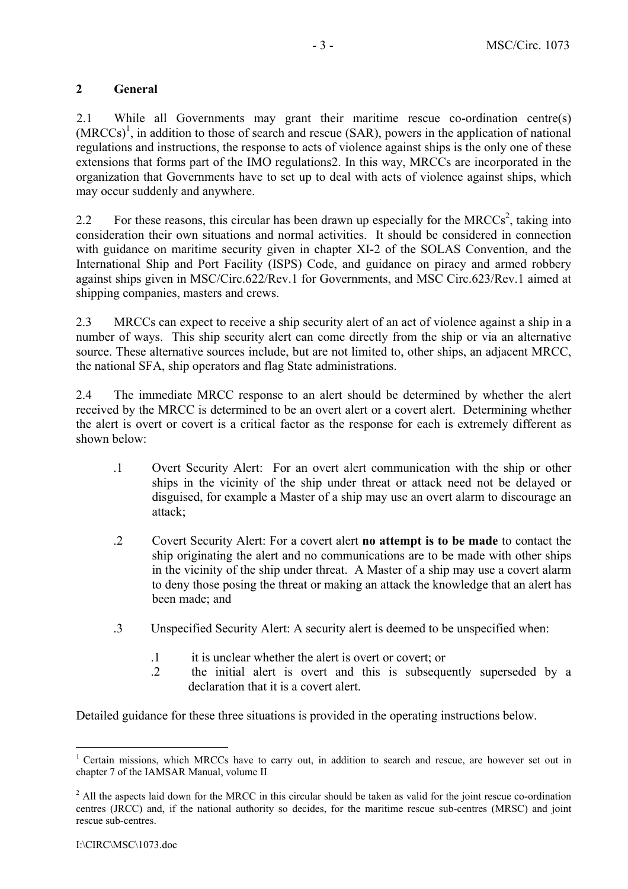## **2 General**

2.1 While all Governments may grant their maritime rescue co-ordination centre(s)  $(MRCCs)^1$ , in addition to those of search and rescue (SAR), powers in the application of national regulations and instructions, the response to acts of violence against ships is the only one of these extensions that forms part of the IMO regulations2. In this way, MRCCs are incorporated in the organization that Governments have to set up to deal with acts of violence against ships, which may occur suddenly and anywhere.

2.2 For these reasons, this circular has been drawn up especially for the MRCCs<sup>2</sup>, taking into consideration their own situations and normal activities. It should be considered in connection with guidance on maritime security given in chapter XI-2 of the SOLAS Convention, and the International Ship and Port Facility (ISPS) Code, and guidance on piracy and armed robbery against ships given in MSC/Circ.622/Rev.1 for Governments, and MSC Circ.623/Rev.1 aimed at shipping companies, masters and crews.

2.3 MRCCs can expect to receive a ship security alert of an act of violence against a ship in a number of ways. This ship security alert can come directly from the ship or via an alternative source. These alternative sources include, but are not limited to, other ships, an adjacent MRCC, the national SFA, ship operators and flag State administrations.

2.4 The immediate MRCC response to an alert should be determined by whether the alert received by the MRCC is determined to be an overt alert or a covert alert. Determining whether the alert is overt or covert is a critical factor as the response for each is extremely different as shown below:

- .1 Overt Security Alert: For an overt alert communication with the ship or other ships in the vicinity of the ship under threat or attack need not be delayed or disguised, for example a Master of a ship may use an overt alarm to discourage an attack;
- .2 Covert Security Alert: For a covert alert **no attempt is to be made** to contact the ship originating the alert and no communications are to be made with other ships in the vicinity of the ship under threat. A Master of a ship may use a covert alarm to deny those posing the threat or making an attack the knowledge that an alert has been made; and
- .3 Unspecified Security Alert: A security alert is deemed to be unspecified when:
	- .1 it is unclear whether the alert is overt or covert; or
	- .2 the initial alert is overt and this is subsequently superseded by a declaration that it is a covert alert.

Detailed guidance for these three situations is provided in the operating instructions below.

 $\overline{a}$  $1$  Certain missions, which MRCCs have to carry out, in addition to search and rescue, are however set out in chapter 7 of the IAMSAR Manual, volume II

 $2$  All the aspects laid down for the MRCC in this circular should be taken as valid for the joint rescue co-ordination centres (JRCC) and, if the national authority so decides, for the maritime rescue sub-centres (MRSC) and joint rescue sub-centres.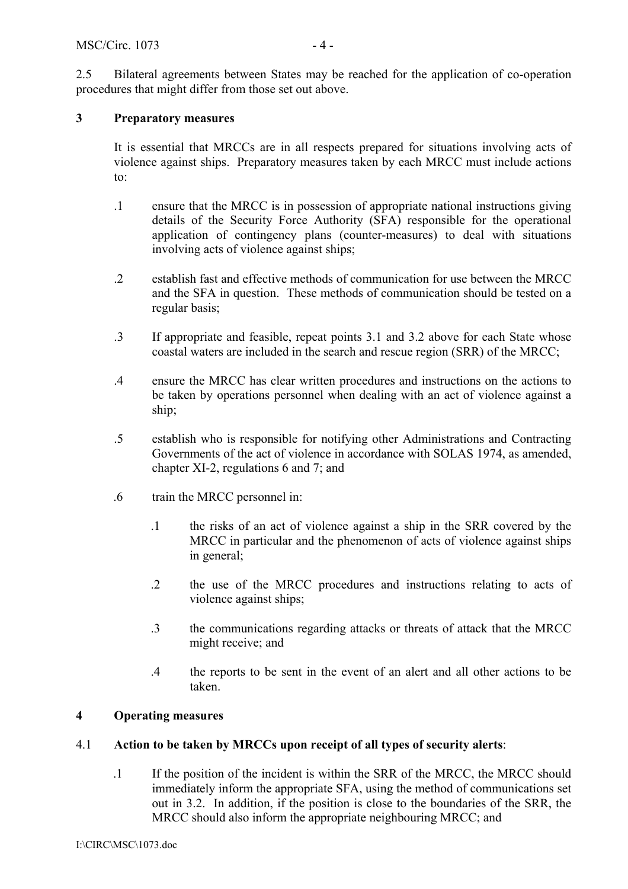2.5 Bilateral agreements between States may be reached for the application of co-operation procedures that might differ from those set out above.

### **3 Preparatory measures**

It is essential that MRCCs are in all respects prepared for situations involving acts of violence against ships. Preparatory measures taken by each MRCC must include actions to:

- .1 ensure that the MRCC is in possession of appropriate national instructions giving details of the Security Force Authority (SFA) responsible for the operational application of contingency plans (counter-measures) to deal with situations involving acts of violence against ships;
- .2 establish fast and effective methods of communication for use between the MRCC and the SFA in question. These methods of communication should be tested on a regular basis;
- .3 If appropriate and feasible, repeat points 3.1 and 3.2 above for each State whose coastal waters are included in the search and rescue region (SRR) of the MRCC;
- .4 ensure the MRCC has clear written procedures and instructions on the actions to be taken by operations personnel when dealing with an act of violence against a ship;
- .5 establish who is responsible for notifying other Administrations and Contracting Governments of the act of violence in accordance with SOLAS 1974, as amended, chapter XI-2, regulations 6 and 7; and
- .6 train the MRCC personnel in:
	- .1 the risks of an act of violence against a ship in the SRR covered by the MRCC in particular and the phenomenon of acts of violence against ships in general;
	- .2 the use of the MRCC procedures and instructions relating to acts of violence against ships;
	- .3 the communications regarding attacks or threats of attack that the MRCC might receive; and
	- .4 the reports to be sent in the event of an alert and all other actions to be taken.

#### **4 Operating measures**

#### 4.1 **Action to be taken by MRCCs upon receipt of all types of security alerts**:

.1 If the position of the incident is within the SRR of the MRCC, the MRCC should immediately inform the appropriate SFA, using the method of communications set out in 3.2. In addition, if the position is close to the boundaries of the SRR, the MRCC should also inform the appropriate neighbouring MRCC; and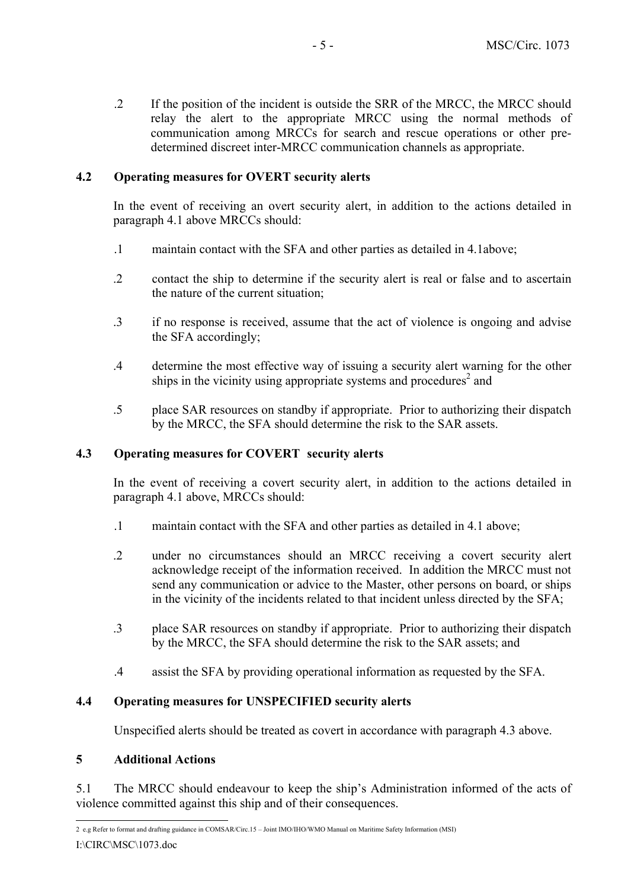.2 If the position of the incident is outside the SRR of the MRCC, the MRCC should relay the alert to the appropriate MRCC using the normal methods of communication among MRCCs for search and rescue operations or other predetermined discreet inter-MRCC communication channels as appropriate.

### **4.2 Operating measures for OVERT security alerts**

 In the event of receiving an overt security alert, in addition to the actions detailed in paragraph 4.1 above MRCCs should:

- .1 maintain contact with the SFA and other parties as detailed in 4.1above;
- .2 contact the ship to determine if the security alert is real or false and to ascertain the nature of the current situation;
- .3 if no response is received, assume that the act of violence is ongoing and advise the SFA accordingly;
- .4 determine the most effective way of issuing a security alert warning for the other ships in the vicinity using appropriate systems and procedures<sup>2</sup> and
- .5 place SAR resources on standby if appropriate. Prior to authorizing their dispatch by the MRCC, the SFA should determine the risk to the SAR assets.

#### **4.3 Operating measures for COVERT security alerts**

 In the event of receiving a covert security alert, in addition to the actions detailed in paragraph 4.1 above, MRCCs should:

- .1 maintain contact with the SFA and other parties as detailed in 4.1 above;
- .2 under no circumstances should an MRCC receiving a covert security alert acknowledge receipt of the information received. In addition the MRCC must not send any communication or advice to the Master, other persons on board, or ships in the vicinity of the incidents related to that incident unless directed by the SFA;
- .3 place SAR resources on standby if appropriate. Prior to authorizing their dispatch by the MRCC, the SFA should determine the risk to the SAR assets; and
- .4 assist the SFA by providing operational information as requested by the SFA.

#### **4.4 Operating measures for UNSPECIFIED security alerts**

Unspecified alerts should be treated as covert in accordance with paragraph 4.3 above.

#### **5 Additional Actions**

5.1 The MRCC should endeavour to keep the ship's Administration informed of the acts of violence committed against this ship and of their consequences.

<sup>2</sup> e.g Refer to format and drafting guidance in COMSAR/Circ.15 – Joint IMO/IHO/WMO Manual on Maritime Safety Information (MSI)